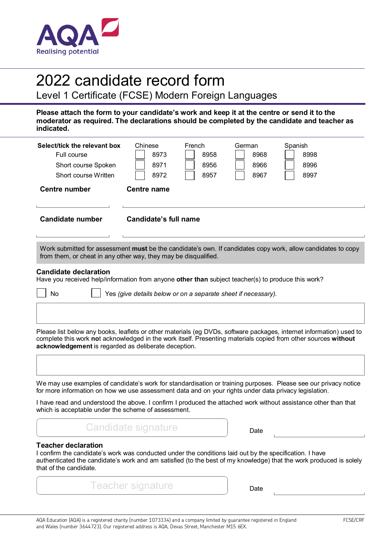

# 2022 candidate record form

Level 1 Certificate (FCSE) Modern Foreign Languages

**Please attach the form to your candidate's work and keep it at the centre or send it to the moderator as required. The declarations should be completed by the candidate and teacher as indicated.**

<span id="page-0-0"></span>

| Select/tick the relevant box<br>Full course<br>Short course Spoken<br>Short course Written<br><b>Centre number</b> | Chinese<br>French<br>Spanish<br>German<br>8958<br>8973<br>8968<br>8998<br>8971<br>8966<br>8996<br>8956<br>8967<br>8997<br>8972<br>8957<br><b>Centre name</b>                                                                          |
|--------------------------------------------------------------------------------------------------------------------|---------------------------------------------------------------------------------------------------------------------------------------------------------------------------------------------------------------------------------------|
| <b>Candidate number</b>                                                                                            | <b>Candidate's full name</b>                                                                                                                                                                                                          |
|                                                                                                                    | Work submitted for assessment must be the candidate's own. If candidates copy work, allow candidates to copy<br>from them, or cheat in any other way, they may be disqualified.                                                       |
| <b>Candidate declaration</b><br>No                                                                                 | Have you received help/information from anyone other than subject teacher(s) to produce this work?<br>Yes (give details below or on a separate sheet if necessary).                                                                   |
| acknowledgement is regarded as deliberate deception.                                                               | Please list below any books, leaflets or other materials (eg DVDs, software packages, internet information) used to<br>complete this work not acknowledged in the work itself. Presenting materials copied from other sources without |
|                                                                                                                    | We may use examples of candidate's work for standardisation or training purposes. Please see our privacy notice<br>for more information on how we use assessment data and on your rights under data privacy legislation.              |
| which is acceptable under the scheme of assessment.                                                                | I have read and understood the above. I confirm I produced the attached work without assistance other than that                                                                                                                       |
|                                                                                                                    | <b>Candidate signature</b><br>Date                                                                                                                                                                                                    |
| <b>Teacher declaration</b>                                                                                         | I confirm the candidate's work was conducted under the conditions laid out by the specification. I have                                                                                                                               |

authenticated the candidate's work and am satisfied (to the best of my knowledge) that the work produced is solely that of the candidate.

Teacher signature Teacher signature